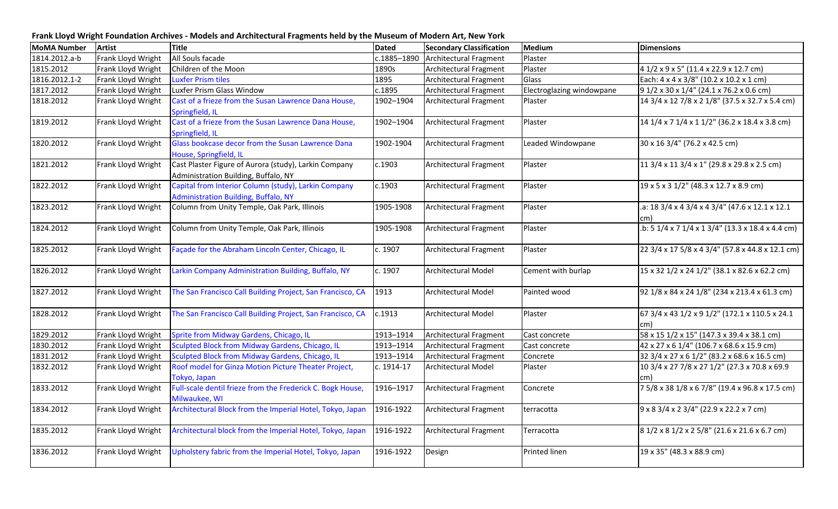**Frank Lloyd Wright Foundation Archives - Models and Architectural Fragments held by the Museum of Modern Art, New York**

| <b>MoMA Number</b> | <b>Artist</b>      | <b>Title</b>                                                            | <b>Dated</b> | <b>Secondary Classification</b> | <b>Medium</b>             | <b>Dimensions</b>                                            |
|--------------------|--------------------|-------------------------------------------------------------------------|--------------|---------------------------------|---------------------------|--------------------------------------------------------------|
| 1814.2012.a-b      | Frank Lloyd Wright | All Souls facade                                                        | c.1885-1890  | Architectural Fragment          | Plaster                   |                                                              |
| 1815.2012          | Frank Lloyd Wright | Children of the Moon                                                    | 1890s        | Architectural Fragment          | Plaster                   | 4 1/2 x 9 x 5" (11.4 x 22.9 x 12.7 cm)                       |
| 1816.2012.1-2      | Frank Lloyd Wright | <b>Luxfer Prism tiles</b>                                               | 1895         | Architectural Fragment          | Glass                     | Each: 4 x 4 x 3/8" (10.2 x 10.2 x 1 cm)                      |
| 1817.2012          | Frank Lloyd Wright | Luxfer Prism Glass Window                                               | c.1895       | Architectural Fragment          | Electroglazing windowpane | 9 1/2 x 30 x 1/4" (24.1 x 76.2 x 0.6 cm)                     |
| 1818.2012          | Frank Lloyd Wright | Cast of a frieze from the Susan Lawrence Dana House,                    | 1902-1904    | Architectural Fragment          | Plaster                   | 14 3/4 x 12 7/8 x 2 1/8" (37.5 x 32.7 x 5.4 cm)              |
|                    |                    | Springfield, IL                                                         |              |                                 |                           |                                                              |
| 1819.2012          | Frank Lloyd Wright | Cast of a frieze from the Susan Lawrence Dana House,<br>Springfield, IL | 1902-1904    | Architectural Fragment          | Plaster                   | 14 1/4 x 7 1/4 x 1 1/2" (36.2 x 18.4 x 3.8 cm)               |
| 1820.2012          | Frank Lloyd Wright | Glass bookcase decor from the Susan Lawrence Dana                       | 1902-1904    | Architectural Fragment          | Leaded Windowpane         | 30 x 16 3/4" (76.2 x 42.5 cm)                                |
|                    |                    | House, Springfield, IL                                                  |              |                                 |                           |                                                              |
| 1821.2012          | Frank Lloyd Wright | Cast Plaster Figure of Aurora (study), Larkin Company                   | c.1903       | Architectural Fragment          | Plaster                   | 11 3/4 x 11 3/4 x 1" (29.8 x 29.8 x 2.5 cm)                  |
|                    |                    | Administration Building, Buffalo, NY                                    |              |                                 |                           |                                                              |
| 1822.2012          | Frank Lloyd Wright | Capital from Interior Column (study), Larkin Company                    | c.1903       | Architectural Fragment          | Plaster                   | 19 x 5 x 3 1/2" (48.3 x 12.7 x 8.9 cm)                       |
|                    |                    | Administration Building, Buffalo, NY                                    |              |                                 |                           |                                                              |
| 1823.2012          | Frank Lloyd Wright | Column from Unity Temple, Oak Park, Illinois                            | 1905-1908    | <b>Architectural Fragment</b>   | Plaster                   | .a: 18 3/4 x 4 3/4 x 4 3/4" (47.6 x 12.1 x 12.1              |
|                    |                    |                                                                         |              |                                 |                           | cm)                                                          |
| 1824.2012          | Frank Lloyd Wright | Column from Unity Temple, Oak Park, Illinois                            | 1905-1908    | Architectural Fragment          | Plaster                   | $1.5: 51/4 \times 71/4 \times 13/4$ " (13.3 x 18.4 x 4.4 cm) |
| 1825.2012          | Frank Lloyd Wright | Façade for the Abraham Lincoln Center, Chicago, IL                      | c. 1907      | Architectural Fragment          | Plaster                   | 22 3/4 x 17 5/8 x 4 3/4" (57.8 x 44.8 x 12.1 cm)             |
| 1826.2012          | Frank Lloyd Wright | Larkin Company Administration Building, Buffalo, NY                     | c. 1907      | Architectural Model             | Cement with burlap        | 15 x 32 1/2 x 24 1/2" (38.1 x 82.6 x 62.2 cm)                |
|                    |                    |                                                                         |              |                                 |                           |                                                              |
| 1827.2012          | Frank Lloyd Wright | The San Francisco Call Building Project, San Francisco, CA              | 1913         | <b>Architectural Model</b>      | Painted wood              | 92 1/8 x 84 x 24 1/8" (234 x 213.4 x 61.3 cm)                |
| 1828.2012          | Frank Lloyd Wright | The San Francisco Call Building Project, San Francisco, CA              | c.1913       | <b>Architectural Model</b>      | Plaster                   | 67 3/4 x 43 1/2 x 9 1/2" (172.1 x 110.5 x 24.1)              |
|                    |                    |                                                                         |              |                                 |                           | $\mathsf{cm}$                                                |
| 1829.2012          | Frank Lloyd Wright | Sprite from Midway Gardens, Chicago, IL                                 | 1913-1914    | <b>Architectural Fragment</b>   | Cast concrete             | 58 x 15 1/2 x 15" (147.3 x 39.4 x 38.1 cm)                   |
| 1830.2012          | Frank Lloyd Wright | Sculpted Block from Midway Gardens, Chicago, IL                         | 1913-1914    | Architectural Fragment          | Cast concrete             | 42 x 27 x 6 1/4" (106.7 x 68.6 x 15.9 cm)                    |
| 1831.2012          | Frank Lloyd Wright | Sculpted Block from Midway Gardens, Chicago, IL                         | 1913-1914    | Architectural Fragment          | Concrete                  | 32 3/4 x 27 x 6 1/2" (83.2 x 68.6 x 16.5 cm)                 |
| 1832.2012          | Frank Lloyd Wright | Roof model for Ginza Motion Picture Theater Project,                    | c. 1914-17   | <b>Architectural Model</b>      | Plaster                   | 10 3/4 x 27 7/8 x 27 1/2" (27.3 x 70.8 x 69.9                |
|                    |                    | Tokyo, Japan                                                            |              |                                 |                           | cm)                                                          |
| 1833.2012          | Frank Lloyd Wright | Full-scale dentil frieze from the Frederick C. Bogk House,              | 1916-1917    | Architectural Fragment          | Concrete                  | 7 5/8 x 38 1/8 x 6 7/8" (19.4 x 96.8 x 17.5 cm)              |
|                    |                    | Milwaukee, WI                                                           |              |                                 |                           |                                                              |
| 1834.2012          | Frank Lloyd Wright | Architectural Block from the Imperial Hotel, Tokyo, Japan               | 1916-1922    | Architectural Fragment          | terracotta                | $9 \times 8$ 3/4 x 2 3/4" (22.9 x 22.2 x 7 cm)               |
| 1835.2012          | Frank Lloyd Wright | Architectural block from the Imperial Hotel, Tokyo, Japan               | 1916-1922    | <b>Architectural Fragment</b>   | Terracotta                | 8 1/2 x 8 1/2 x 2 5/8" (21.6 x 21.6 x 6.7 cm)                |
|                    |                    |                                                                         |              |                                 |                           |                                                              |
| 1836.2012          | Frank Lloyd Wright | Upholstery fabric from the Imperial Hotel, Tokyo, Japan                 | 1916-1922    | Design                          | <b>Printed linen</b>      | 19 x 35" (48.3 x 88.9 cm)                                    |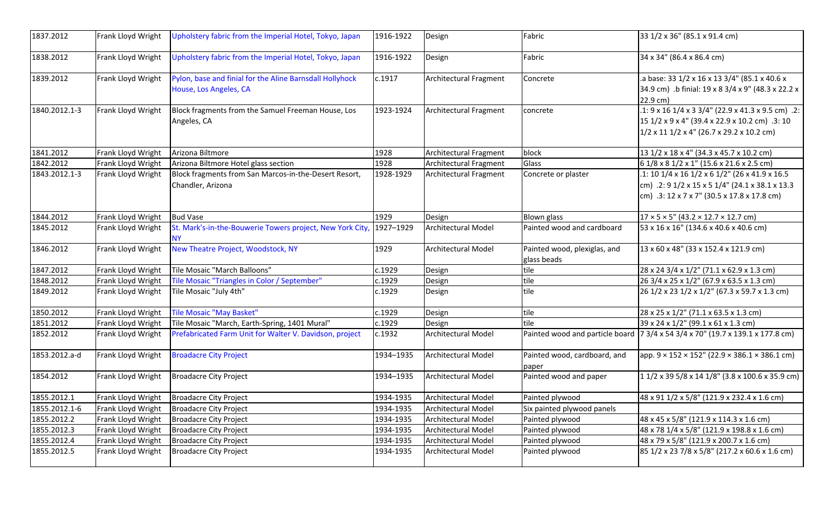| 1837.2012     | Frank Lloyd Wright | Upholstery fabric from the Imperial Hotel, Tokyo, Japan                            | 1916-1922 | Design                        | Fabric                                      | 33 1/2 x 36" (85.1 x 91.4 cm)                                                                                                                                                            |
|---------------|--------------------|------------------------------------------------------------------------------------|-----------|-------------------------------|---------------------------------------------|------------------------------------------------------------------------------------------------------------------------------------------------------------------------------------------|
| 1838.2012     | Frank Lloyd Wright | Upholstery fabric from the Imperial Hotel, Tokyo, Japan                            | 1916-1922 | Design                        | Fabric                                      | 34 x 34" (86.4 x 86.4 cm)                                                                                                                                                                |
| 1839.2012     | Frank Lloyd Wright | Pylon, base and finial for the Aline Barnsdall Hollyhock<br>House, Los Angeles, CA | c.1917    | Architectural Fragment        | Concrete                                    | .a base: 33 1/2 x 16 x 13 3/4" (85.1 x 40.6 x<br>34.9 cm) .b finial: 19 x 8 3/4 x 9" (48.3 x 22.2 x<br>22.9 cm)                                                                          |
| 1840.2012.1-3 | Frank Lloyd Wright | Block fragments from the Samuel Freeman House, Los<br>Angeles, CA                  | 1923-1924 | Architectural Fragment        | concrete                                    | $.1:9 \times 16$ 1/4 x 3 3/4" (22.9 x 41.3 x 9.5 cm) .2:<br>15 1/2 x 9 x 4" (39.4 x 22.9 x 10.2 cm) .3: 10<br>$1/2 \times 11$ 1/2 x 4" (26.7 x 29.2 x 10.2 cm)                           |
| 1841.2012     | Frank Lloyd Wright | Arizona Biltmore                                                                   | 1928      | Architectural Fragment        | block                                       | 13 1/2 x 18 x 4" (34.3 x 45.7 x 10.2 cm)                                                                                                                                                 |
| 1842.2012     | Frank Lloyd Wright | Arizona Biltmore Hotel glass section                                               | 1928      | <b>Architectural Fragment</b> | Glass                                       | 6 1/8 x 8 1/2 x 1" (15.6 x 21.6 x 2.5 cm)                                                                                                                                                |
| 1843.2012.1-3 | Frank Lloyd Wright | Block fragments from San Marcos-in-the-Desert Resort,<br>Chandler, Arizona         | 1928-1929 | Architectural Fragment        | Concrete or plaster                         | .1: 10 1/4 x 16 1/2 x 6 1/2" (26 x 41.9 x 16.5<br>cm) .2: $9 \frac{1}{2} \times 15 \times 5 \frac{1}{4}$ (24.1 x 38.1 x 13.3)<br>cm) $.3:12 \times 7 \times 7$ " (30.5 x 17.8 x 17.8 cm) |
| 1844.2012     | Frank Lloyd Wright | <b>Bud Vase</b>                                                                    | 1929      | Design                        | <b>Blown glass</b>                          | $17 \times 5 \times 5$ " (43.2 × 12.7 × 12.7 cm)                                                                                                                                         |
| 1845.2012     | Frank Lloyd Wright | St. Mark's-in-the-Bouwerie Towers project, New York City, 1927-1929<br>NΥ          |           | Architectural Model           | Painted wood and cardboard                  | 53 x 16 x 16" (134.6 x 40.6 x 40.6 cm)                                                                                                                                                   |
| 1846.2012     | Frank Lloyd Wright | New Theatre Project, Woodstock, NY                                                 | 1929      | Architectural Model           | Painted wood, plexiglas, and<br>glass beads | 13 x 60 x 48" (33 x 152.4 x 121.9 cm)                                                                                                                                                    |
| 1847.2012     | Frank Lloyd Wright | Tile Mosaic "March Balloons"                                                       | c.1929    | Design                        | tile                                        | 28 x 24 3/4 x 1/2" (71.1 x 62.9 x 1.3 cm)                                                                                                                                                |
| 1848.2012     | Frank Lloyd Wright | Tile Mosaic "Triangles in Color / September"                                       | c.1929    | Design                        | tile                                        | 26 3/4 x 25 x 1/2" (67.9 x 63.5 x 1.3 cm)                                                                                                                                                |
| 1849.2012     | Frank Lloyd Wright | Tile Mosaic "July 4th"                                                             | c.1929    | Design                        | tile                                        | 26 1/2 x 23 1/2 x 1/2" (67.3 x 59.7 x 1.3 cm)                                                                                                                                            |
| 1850.2012     | Frank Lloyd Wright | <b>Tile Mosaic "May Basket"</b>                                                    | c.1929    | Design                        | tile                                        | 28 x 25 x 1/2" (71.1 x 63.5 x 1.3 cm)                                                                                                                                                    |
| 1851.2012     | Frank Lloyd Wright | Tile Mosaic "March, Earth-Spring, 1401 Mural"                                      | c.1929    | Design                        | tile                                        | 39 x 24 x 1/2" (99.1 x 61 x 1.3 cm)                                                                                                                                                      |
| 1852.2012     | Frank Lloyd Wright | Prefabricated Farm Unit for Walter V. Davidson, project                            | c.1932    | Architectural Model           |                                             | Painted wood and particle board   7 3/4 x 54 3/4 x 70" (19.7 x 139.1 x 177.8 cm)                                                                                                         |
| 1853.2012.a-d | Frank Lloyd Wright | <b>Broadacre City Project</b>                                                      | 1934-1935 | Architectural Model           | Painted wood, cardboard, and<br>paper       | app. $9 \times 152 \times 152$ " (22.9 $\times$ 386.1 $\times$ 386.1 cm)                                                                                                                 |
| 1854.2012     | Frank Lloyd Wright | <b>Broadacre City Project</b>                                                      | 1934-1935 | Architectural Model           | Painted wood and paper                      | 1 1/2 x 39 5/8 x 14 1/8" (3.8 x 100.6 x 35.9 cm)                                                                                                                                         |
| 1855.2012.1   |                    | Frank Lloyd Wright   Broadacre City Project                                        | 1934-1935 | <b>Architectural Model</b>    | Painted plywood                             | 48 x 91 1/2 x 5/8" (121.9 x 232.4 x 1.6 cm)                                                                                                                                              |
| 1855.2012.1-6 | Frank Lloyd Wright | <b>Broadacre City Project</b>                                                      | 1934-1935 | Architectural Model           | Six painted plywood panels                  |                                                                                                                                                                                          |
| 1855.2012.2   | Frank Lloyd Wright | <b>Broadacre City Project</b>                                                      | 1934-1935 | <b>Architectural Model</b>    | Painted plywood                             | 48 x 45 x 5/8" (121.9 x 114.3 x 1.6 cm)                                                                                                                                                  |
| 1855.2012.3   | Frank Lloyd Wright | <b>Broadacre City Project</b>                                                      | 1934-1935 | Architectural Model           | Painted plywood                             | 48 x 78 1/4 x 5/8" (121.9 x 198.8 x 1.6 cm)                                                                                                                                              |
| 1855.2012.4   | Frank Lloyd Wright | <b>Broadacre City Project</b>                                                      | 1934-1935 | Architectural Model           | Painted plywood                             | 48 x 79 x 5/8" (121.9 x 200.7 x 1.6 cm)                                                                                                                                                  |
| 1855.2012.5   | Frank Lloyd Wright | <b>Broadacre City Project</b>                                                      | 1934-1935 | Architectural Model           | Painted plywood                             | 85 1/2 x 23 7/8 x 5/8" (217.2 x 60.6 x 1.6 cm)                                                                                                                                           |